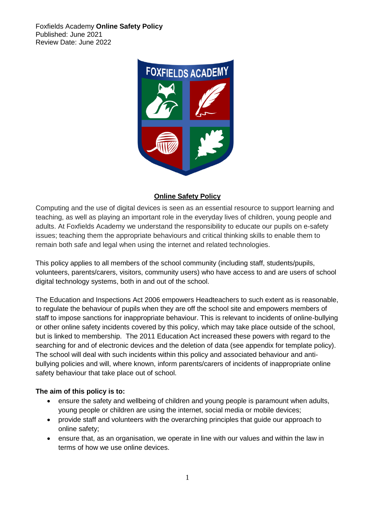

#### **Online Safety Policy**

Computing and the use of digital devices is seen as an essential resource to support learning and teaching, as well as playing an important role in the everyday lives of children, young people and adults. At Foxfields Academy we understand the responsibility to educate our pupils on e-safety issues; teaching them the appropriate behaviours and critical thinking skills to enable them to remain both safe and legal when using the internet and related technologies.

This policy applies to all members of the school community (including staff, students/pupils, volunteers, parents/carers, visitors, community users) who have access to and are users of school digital technology systems, both in and out of the school.

The Education and Inspections Act 2006 empowers Headteachers to such extent as is reasonable, to regulate the behaviour of pupils when they are off the school site and empowers members of staff to impose sanctions for inappropriate behaviour. This is relevant to incidents of online-bullying or other online safety incidents covered by this policy, which may take place outside of the school, but is linked to membership. The 2011 Education Act increased these powers with regard to the searching for and of electronic devices and the deletion of data (see appendix for template policy). The school will deal with such incidents within this policy and associated behaviour and antibullying policies and will, where known, inform parents/carers of incidents of inappropriate online safety behaviour that take place out of school.

#### **The aim of this policy is to:**

- ensure the safety and wellbeing of children and young people is paramount when adults, young people or children are using the internet, social media or mobile devices;
- provide staff and volunteers with the overarching principles that guide our approach to online safety;
- ensure that, as an organisation, we operate in line with our values and within the law in terms of how we use online devices.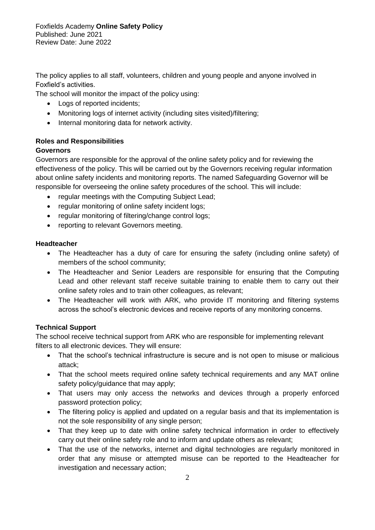The policy applies to all staff, volunteers, children and young people and anyone involved in Foxfield's activities.

The school will monitor the impact of the policy using:

- Logs of reported incidents;
- Monitoring logs of internet activity (including sites visited)/filtering;
- Internal monitoring data for network activity.

# **Roles and Responsibilities**

## **Governors**

Governors are responsible for the approval of the online safety policy and for reviewing the effectiveness of the policy. This will be carried out by the Governors receiving regular information about online safety incidents and monitoring reports. The named Safeguarding Governor will be responsible for overseeing the online safety procedures of the school. This will include:

- regular meetings with the Computing Subject Lead;
- regular monitoring of online safety incident logs;
- regular monitoring of filtering/change control logs;
- reporting to relevant Governors meeting.

## **Headteacher**

- The Headteacher has a duty of care for ensuring the safety (including online safety) of members of the school community;
- The Headteacher and Senior Leaders are responsible for ensuring that the Computing Lead and other relevant staff receive suitable training to enable them to carry out their online safety roles and to train other colleagues, as relevant;
- The Headteacher will work with ARK, who provide IT monitoring and filtering systems across the school's electronic devices and receive reports of any monitoring concerns.

# **Technical Support**

The school receive technical support from ARK who are responsible for implementing relevant filters to all electronic devices. They will ensure:

- That the school's technical infrastructure is secure and is not open to misuse or malicious attack;
- That the school meets required online safety technical requirements and any MAT online safety policy/guidance that may apply;
- That users may only access the networks and devices through a properly enforced password protection policy;
- The filtering policy is applied and updated on a regular basis and that its implementation is not the sole responsibility of any single person;
- That they keep up to date with online safety technical information in order to effectively carry out their online safety role and to inform and update others as relevant;
- That the use of the networks, internet and digital technologies are regularly monitored in order that any misuse or attempted misuse can be reported to the Headteacher for investigation and necessary action;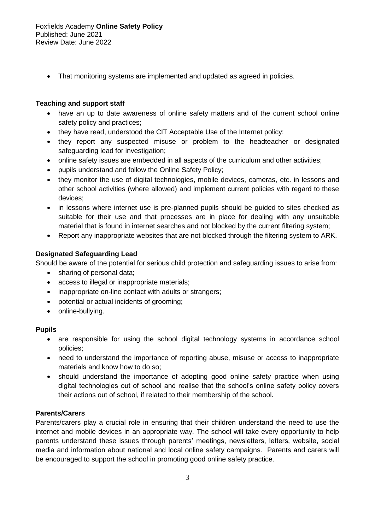• That monitoring systems are implemented and updated as agreed in policies.

#### **Teaching and support staff**

- have an up to date awareness of online safety matters and of the current school online safety policy and practices;
- they have read, understood the CIT Acceptable Use of the Internet policy;
- they report any suspected misuse or problem to the headteacher or designated safeguarding lead for investigation;
- online safety issues are embedded in all aspects of the curriculum and other activities;
- pupils understand and follow the Online Safety Policy;
- they monitor the use of digital technologies, mobile devices, cameras, etc. in lessons and other school activities (where allowed) and implement current policies with regard to these devices;
- in lessons where internet use is pre-planned pupils should be guided to sites checked as suitable for their use and that processes are in place for dealing with any unsuitable material that is found in internet searches and not blocked by the current filtering system;
- Report any inappropriate websites that are not blocked through the filtering system to ARK.

#### **Designated Safeguarding Lead**

Should be aware of the potential for serious child protection and safeguarding issues to arise from:

- sharing of personal data;
- access to illegal or inappropriate materials;
- inappropriate on-line contact with adults or strangers;
- potential or actual incidents of grooming;
- online-bullying.

#### **Pupils**

- are responsible for using the school digital technology systems in accordance school policies;
- need to understand the importance of reporting abuse, misuse or access to inappropriate materials and know how to do so;
- should understand the importance of adopting good online safety practice when using digital technologies out of school and realise that the school's online safety policy covers their actions out of school, if related to their membership of the school.

#### **Parents/Carers**

Parents/carers play a crucial role in ensuring that their children understand the need to use the internet and mobile devices in an appropriate way. The school will take every opportunity to help parents understand these issues through parents' meetings, newsletters, letters, website, social media and information about national and local online safety campaigns. Parents and carers will be encouraged to support the school in promoting good online safety practice.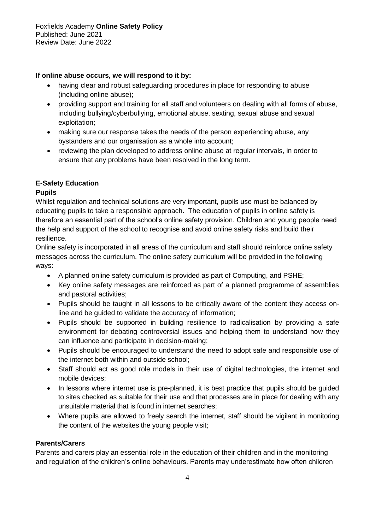### **If online abuse occurs, we will respond to it by:**

- having clear and robust safeguarding procedures in place for responding to abuse (including online abuse);
- providing support and training for all staff and volunteers on dealing with all forms of abuse, including bullying/cyberbullying, emotional abuse, sexting, sexual abuse and sexual exploitation;
- making sure our response takes the needs of the person experiencing abuse, any bystanders and our organisation as a whole into account;
- reviewing the plan developed to address online abuse at regular intervals, in order to ensure that any problems have been resolved in the long term.

# **E-Safety Education**

## **Pupils**

Whilst regulation and technical solutions are very important, pupils use must be balanced by educating pupils to take a responsible approach. The education of pupils in online safety is therefore an essential part of the school's online safety provision. Children and young people need the help and support of the school to recognise and avoid online safety risks and build their resilience.

Online safety is incorporated in all areas of the curriculum and staff should reinforce online safety messages across the curriculum. The online safety curriculum will be provided in the following ways:

- A planned online safety curriculum is provided as part of Computing, and PSHE;
- Key online safety messages are reinforced as part of a planned programme of assemblies and pastoral activities;
- Pupils should be taught in all lessons to be critically aware of the content they access online and be guided to validate the accuracy of information;
- Pupils should be supported in building resilience to radicalisation by providing a safe environment for debating controversial issues and helping them to understand how they can influence and participate in decision-making;
- Pupils should be encouraged to understand the need to adopt safe and responsible use of the internet both within and outside school;
- Staff should act as good role models in their use of digital technologies, the internet and mobile devices;
- In lessons where internet use is pre-planned, it is best practice that pupils should be quided to sites checked as suitable for their use and that processes are in place for dealing with any unsuitable material that is found in internet searches;
- Where pupils are allowed to freely search the internet, staff should be vigilant in monitoring the content of the websites the young people visit;

# **Parents/Carers**

Parents and carers play an essential role in the education of their children and in the monitoring and regulation of the children's online behaviours. Parents may underestimate how often children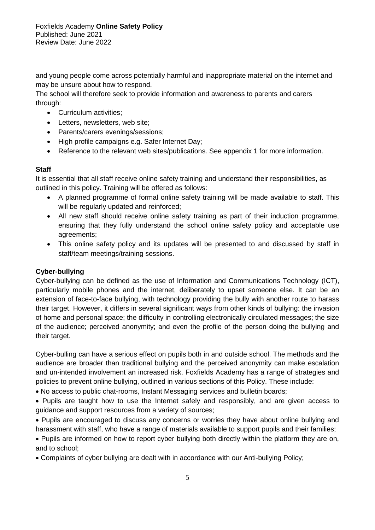and young people come across potentially harmful and inappropriate material on the internet and may be unsure about how to respond.

The school will therefore seek to provide information and awareness to parents and carers through:

- Curriculum activities;
- Letters, newsletters, web site;
- Parents/carers evenings/sessions;
- High profile campaigns e.g. Safer Internet Day;
- Reference to the relevant web sites/publications. See appendix 1 for more information.

#### **Staff**

It is essential that all staff receive online safety training and understand their responsibilities, as outlined in this policy. Training will be offered as follows:

- A planned programme of formal online safety training will be made available to staff. This will be regularly updated and reinforced;
- All new staff should receive online safety training as part of their induction programme, ensuring that they fully understand the school online safety policy and acceptable use agreements;
- This online safety policy and its updates will be presented to and discussed by staff in staff/team meetings/training sessions.

# **Cyber-bullying**

Cyber-bullying can be defined as the use of Information and Communications Technology (ICT), particularly mobile phones and the internet, deliberately to upset someone else. It can be an extension of face-to-face bullying, with technology providing the bully with another route to harass their target. However, it differs in several significant ways from other kinds of bullying: the invasion of home and personal space; the difficulty in controlling electronically circulated messages; the size of the audience; perceived anonymity; and even the profile of the person doing the bullying and their target.

Cyber-bulling can have a serious effect on pupils both in and outside school. The methods and the audience are broader than traditional bullying and the perceived anonymity can make escalation and un-intended involvement an increased risk. Foxfields Academy has a range of strategies and policies to prevent online bullying, outlined in various sections of this Policy. These include:

- No access to public chat-rooms, Instant Messaging services and bulletin boards;
- Pupils are taught how to use the Internet safely and responsibly, and are given access to guidance and support resources from a variety of sources;
- Pupils are encouraged to discuss any concerns or worries they have about online bullying and harassment with staff, who have a range of materials available to support pupils and their families;
- Pupils are informed on how to report cyber bullying both directly within the platform they are on, and to school;

• Complaints of cyber bullying are dealt with in accordance with our Anti-bullying Policy;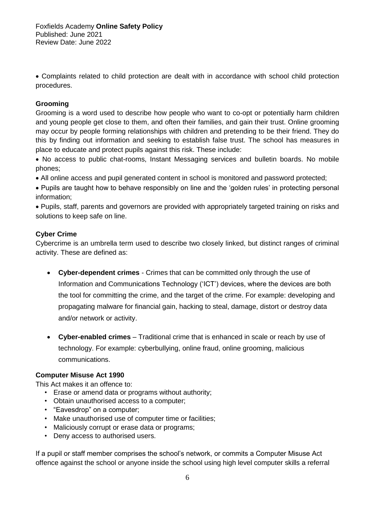• Complaints related to child protection are dealt with in accordance with school child protection procedures.

#### **Grooming**

Grooming is a word used to describe how people who want to co-opt or potentially harm children and young people get close to them, and often their families, and gain their trust. Online grooming may occur by people forming relationships with children and pretending to be their friend. They do this by finding out information and seeking to establish false trust. The school has measures in place to educate and protect pupils against this risk. These include:

• No access to public chat-rooms, Instant Messaging services and bulletin boards. No mobile phones;

• All online access and pupil generated content in school is monitored and password protected;

• Pupils are taught how to behave responsibly on line and the 'golden rules' in protecting personal information;

• Pupils, staff, parents and governors are provided with appropriately targeted training on risks and solutions to keep safe on line.

#### **Cyber Crime**

Cybercrime is an umbrella term used to describe two closely linked, but distinct ranges of criminal activity. These are defined as:

- **Cyber-dependent crimes** Crimes that can be committed only through the use of Information and Communications Technology ('ICT') devices, where the devices are both the tool for committing the crime, and the target of the crime. For example: developing and propagating malware for financial gain, hacking to steal, damage, distort or destroy data and/or network or activity.
- **Cyber-enabled crimes** Traditional crime that is enhanced in scale or reach by use of technology. For example: cyberbullying, online fraud, online grooming, malicious communications.

#### **Computer Misuse Act 1990**

This Act makes it an offence to:

- Erase or amend data or programs without authority;
- Obtain unauthorised access to a computer;
- "Eavesdrop" on a computer;
- Make unauthorised use of computer time or facilities;
- Maliciously corrupt or erase data or programs;
- Deny access to authorised users.

If a pupil or staff member comprises the school's network, or commits a Computer Misuse Act offence against the school or anyone inside the school using high level computer skills a referral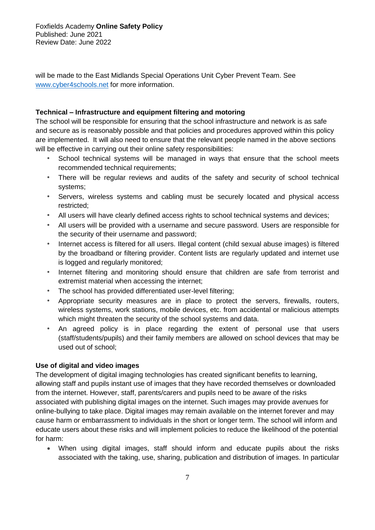will be made to the East Midlands Special Operations Unit Cyber Prevent Team. See [www.cyber4schools.net](http://www.cyber4schools.net/) for more information.

#### **Technical – Infrastructure and equipment filtering and motoring**

The school will be responsible for ensuring that the school infrastructure and network is as safe and secure as is reasonably possible and that policies and procedures approved within this policy are implemented. It will also need to ensure that the relevant people named in the above sections will be effective in carrying out their online safety responsibilities:

- *•* School technical systems will be managed in ways that ensure that the school meets recommended technical requirements;
- *•* There will be regular reviews and audits of the safety and security of school technical systems;
- *•* Servers, wireless systems and cabling must be securely located and physical access restricted;
- *•* All users will have clearly defined access rights to school technical systems and devices;
- *•* All users will be provided with a username and secure password*.* Users are responsible for the security of their username and password;
- *•* Internet access is filtered for all users. Illegal content (child sexual abuse images) is filtered by the broadband or filtering provider. Content lists are regularly updated and internet use is logged and regularly monitored;
- *•* Internet filtering and monitoring should ensure that children are safe from terrorist and extremist material when accessing the internet;
- *•* The school has provided differentiated user-level filtering;
- *•* Appropriate security measures are in place to protect the servers, firewalls, routers, wireless systems, work stations, mobile devices, etc. from accidental or malicious attempts which might threaten the security of the school systems and data.
- *•* An agreed policy is in place regarding the extent of personal use that users (staff/students/pupils) and their family members are allowed on school devices that may be used out of school;

#### **Use of digital and video images**

The development of digital imaging technologies has created significant benefits to learning, allowing staff and pupils instant use of images that they have recorded themselves or downloaded from the internet. However, staff, parents/carers and pupils need to be aware of the risks associated with publishing digital images on the internet. Such images may provide avenues for online-bullying to take place. Digital images may remain available on the internet forever and may cause harm or embarrassment to individuals in the short or longer term. The school will inform and educate users about these risks and will implement policies to reduce the likelihood of the potential for harm:

• When using digital images, staff should inform and educate pupils about the risks associated with the taking, use, sharing, publication and distribution of images. In particular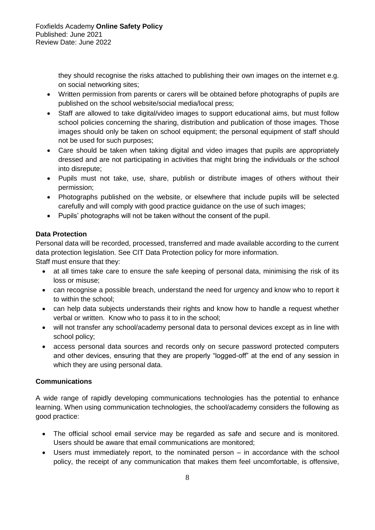they should recognise the risks attached to publishing their own images on the internet e.g. on social networking sites;

- Written permission from parents or carers will be obtained before photographs of pupils are published on the school website/social media/local press;
- Staff are allowed to take digital/video images to support educational aims, but must follow school policies concerning the sharing, distribution and publication of those images. Those images should only be taken on school equipment; the personal equipment of staff should not be used for such purposes;
- Care should be taken when taking digital and video images that pupils are appropriately dressed and are not participating in activities that might bring the individuals or the school into disrepute;
- Pupils must not take, use, share, publish or distribute images of others without their permission;
- Photographs published on the website, or elsewhere that include pupils will be selected carefully and will comply with good practice guidance on the use of such images;
- Pupils' photographs will not be taken without the consent of the pupil.

# **Data Protection**

Personal data will be recorded, processed, transferred and made available according to the current data protection legislation. See CIT Data Protection policy for more information.

Staff must ensure that they:

- at all times take care to ensure the safe keeping of personal data, minimising the risk of its loss or misuse;
- can recognise a possible breach, understand the need for urgency and know who to report it to within the school;
- can help data subjects understands their rights and know how to handle a request whether verbal or written. Know who to pass it to in the school;
- will not transfer any school/academy personal data to personal devices except as in line with school policy;
- access personal data sources and records only on secure password protected computers and other devices, ensuring that they are properly "logged-off" at the end of any session in which they are using personal data.

# **Communications**

A wide range of rapidly developing communications technologies has the potential to enhance learning. When using communication technologies, the school/academy considers the following as good practice:

- The official school email service may be regarded as safe and secure and is monitored. Users should be aware that email communications are monitored;
- Users must immediately report, to the nominated person in accordance with the school policy, the receipt of any communication that makes them feel uncomfortable, is offensive,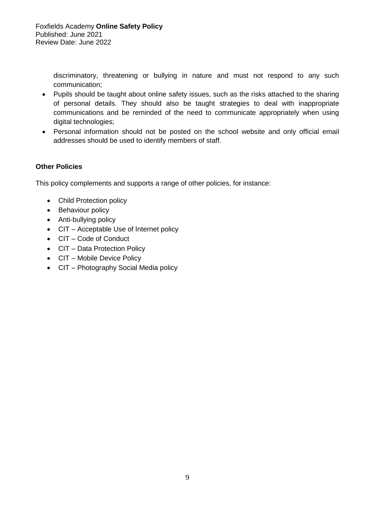discriminatory, threatening or bullying in nature and must not respond to any such communication;

- Pupils should be taught about online safety issues, such as the risks attached to the sharing of personal details. They should also be taught strategies to deal with inappropriate communications and be reminded of the need to communicate appropriately when using digital technologies;
- Personal information should not be posted on the school website and only official email addresses should be used to identify members of staff.

# **Other Policies**

This policy complements and supports a range of other policies, for instance:

- Child Protection policy
- Behaviour policy
- Anti-bullying policy
- CIT Acceptable Use of Internet policy
- CIT Code of Conduct
- CIT Data Protection Policy
- CIT Mobile Device Policy
- CIT Photography Social Media policy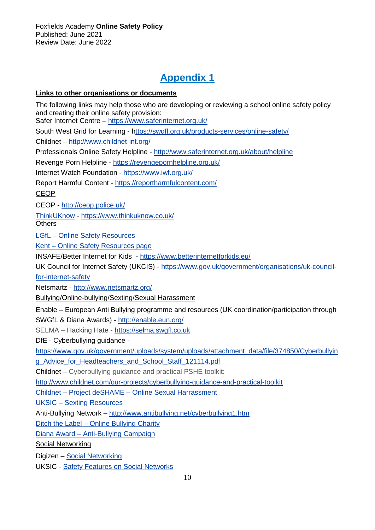# **Appendix 1**

#### **Links to other organisations or documents**

The following links may help those who are developing or reviewing a school online safety policy and creating their online safety provision: Safer Internet Centre – <https://www.saferinternet.org.uk/> South West Grid for Learning - [https://swgfl.org.uk/products-services/online-safety/](http://www.swgfl.org.uk/) Childnet – <http://www.childnet-int.org/> Professionals Online Safety Helpline - <http://www.saferinternet.org.uk/about/helpline> Revenge Porn Helpline - https://revengepornhelpline.org.uk/ Internet Watch Foundation - <https://www.iwf.org.uk/> Report Harmful Content - <https://reportharmfulcontent.com/> CEOP CEOP - <http://ceop.police.uk/> [ThinkUKnow](http://www.thinkuknow.co.uk/) - <https://www.thinkuknow.co.uk/> **Others** LGfL – [Online Safety Resources](https://www.lgfl.net/online-safety/resource-centre?a=3) Kent – [Online Safety Resources page](http://www.kelsi.org.uk/child-protection-and-safeguarding/e-safety/e-safety-classroom-materials) INSAFE/Better Internet for Kids - <https://www.betterinternetforkids.eu/> UK Council for Internet Safety (UKCIS) - [https://www.gov.uk/government/organisations/uk-council](https://www.gov.uk/government/organisations/uk-council-for-internet-safety)[for-internet-safety](https://www.gov.uk/government/organisations/uk-council-for-internet-safety) Netsmartz - <http://www.netsmartz.org/> Bullying/Online-bullying/Sexting/Sexual Harassment Enable – European Anti Bullying programme and resources (UK coordination/participation through SWGfL & Diana Awards) - <http://enable.eun.org/> SELMA – Hacking Hate - [https://selma.swgfl.co.uk](https://selma.swgfl.co.uk/) DfE - Cyberbullying guidance [https://www.gov.uk/government/uploads/system/uploads/attachment\\_data/file/374850/Cyberbullyin](https://www.gov.uk/government/uploads/system/uploads/attachment_data/file/374850/Cyberbullying_Advice_for_Headteachers_and_School_Staff_121114.pdf) [g\\_Advice\\_for\\_Headteachers\\_and\\_School\\_Staff\\_121114.pdf](https://www.gov.uk/government/uploads/system/uploads/attachment_data/file/374850/Cyberbullying_Advice_for_Headteachers_and_School_Staff_121114.pdf) Childnet – Cyberbullying guidance and practical PSHE toolkit: <http://www.childnet.com/our-projects/cyberbullying-guidance-and-practical-toolkit> Childnet – Project deSHAME – [Online Sexual Harrassment](http://www.childnet.com/our-projects/project-deshame) UKSIC – [Sexting Resources](https://www.saferinternet.org.uk/advice-centre/teachers-and-professionals/teaching-resources/sexting-resources) Anti-Bullying Network – <http://www.antibullying.net/cyberbullying1.htm> Ditch the Label – [Online Bullying Charity](https://www.ditchthelabel.org/) Diana Award – [Anti-Bullying Campaign](http://www.antibullyingpro.com/) Social Networking Digizen – [Social Networking](http://digizen.org/socialnetworking/) UKSIC - [Safety Features on Social Networks](http://www.saferinternet.org.uk/advice-and-resources/teachers-and-professionals/safety-features)